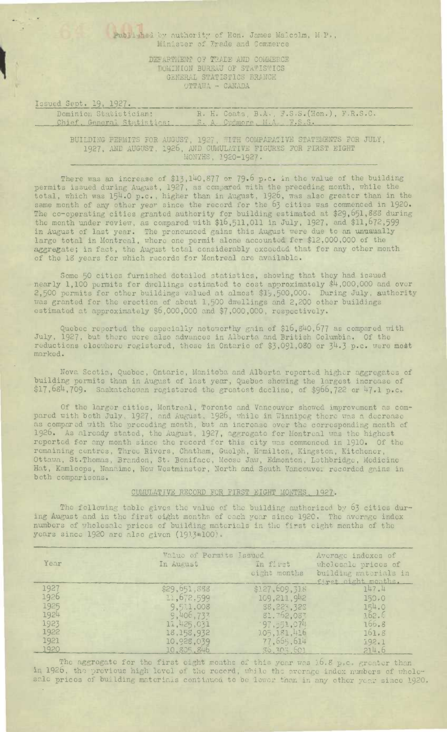Published by authority of Hon. James Malcolm, M.P., Minister of Trade and Commerce

> DE ARTMENT OF TRADE AND COMMERCE DOMINION BUREAU OF STATISTICS GENERAL sTATISTiCS BRANCH OTTAWA - CANADA

Issued Sept. 19, 1927.

| Subscription of the Constitution of the Constitution of the Constitution of the Constitution of the Constitution of the Constitution of the Constitution of the Constitution of the Constitution of the Constitution of the Co |  |                                            |
|--------------------------------------------------------------------------------------------------------------------------------------------------------------------------------------------------------------------------------|--|--------------------------------------------|
| Dominion Statistician:                                                                                                                                                                                                         |  | R. H. Coats, B.A., F.S.S. (Hon.), F.R.S.C. |
| Chief, General Statistics:                                                                                                                                                                                                     |  | S. A. Cudmore, M.A., F.S.S.                |

BUILDING PERMITS FOR AUGUST, 1927, WITH COMPARATIVE STATEMENTS FOR JULY, 1927, ANE AUGUST, 1926, AND CUMULATIVE FIGURES FOR *FIRST* EIGHT MONTHS, 1920-1927.

There was an increase of \$13,140,877 or 79.6 p.c. in the value of the building permits issued during August, 1927, as compared with the preceding month, while the total, which was 1514.0 p.c., higher than in August, 1926, was also greater than in the same month of any other year since the record for the 63 cities was commenced in 1920. The co-operating cities granted authority for building estimated at \$29,651,888 during the month under review, as compared with  $$16,511,011$  in July, 1927, and  $$11,672,599$ in August of last year. The pronounced gains this August were due to an unuaually large total in Montreal, where one permit alone accounted. for \$12,000,000 of the aggregate; in fact, the August total considerably exceeded that for any other month of the 18 years for which records for Montreal are available.

Some 50 cities furnished detailed statistics, showing that they had issued nearly 1,100 permits for dwellings estimated to cost approximately \$4,000,000 and over 2,500 permits for other buildings valued at almost \$15,500,000. During July, authority *was* granted for the erection of about 1,500 dwellings and 2,200 other buildings estimated at approximately \$6,000,000 and \$7,000,000, respectively.

Quebec reported the especially noteworthy gain of \$16,840,677 as compared with July, 1927, but there were also advances in Alberta and British Columbia. Of the reductions cloowhere registered, those in Ontario of \$3,091,080 or 34.3 p.c. were most marked.

Nova Scotia, Quebec, Ontario, Manitoba and Alberta reported higher aggregates of building permits than in August of last year, Quebec showing the largest increase of  $$17,684,709$ . Saskatchewan registered the greatest decline, of \$966,722 or 47.1 p.c.

Of the larger cities, Montreal, Toronto and Vancouver showed improvement as compared with both July, 1927, and August, 1926, while in Winnipeg there was a decrease as compared with the preceding month, but an increase over the corresponding month of 1926. As already stated., the August, 1927, aggregate for Montreal was the highest reported for any month since the record for this city was commenced in 1910. Of the remaining centres, Three Rivers, Chatham, Guelph, Hamilton, Kingston, Kitchener, Ottawa, St.Thomas, Brandon, St. Boniface, Moose Jaw, Edmonton, Lethbridge, Medicine Hat, Kemloops, Nanaimo, Now Tiestminstor, North and South Vancouvoi recorded gains in both comparisons.

## CUMULATIVE RECORD FOR FIRST EIGHT MONTHS, 1927.

The following table gives the value of the building authorized by 63 cities during August and in the first eight months of each year since 1920. The average index numbers of wholesale prices of building materials in the first eight months of the years since 1920 are also given  $(19.3*100)$ .

| Year | Value of Permits Issued<br>In August | In first<br>cight months | Average indexes of<br>wholesale prices of<br>building materials in<br>first cight months. |
|------|--------------------------------------|--------------------------|-------------------------------------------------------------------------------------------|
| 1927 | \$29,651,888                         | \$127,609,318            | 147.4                                                                                     |
| 1926 | 11,672.599                           | 109,211,942              | 150.0                                                                                     |
| 1925 | 9,511,008                            | 88, 223, 325             | 154.0                                                                                     |
| 1924 | 9,406,737                            | 81.762,087               | 162.6                                                                                     |
| 1923 | 11,425,031                           | $-97,551,074$            | 166.8                                                                                     |
| 1922 | 18, 158, 932                         | 105, 181, 416            | 161.8                                                                                     |
| 1921 | 10,928,039                           | 77,665,614               | 192.1                                                                                     |
| 1920 | 10.805.846                           | 36, 305, 601             | 214.6                                                                                     |

The aggregate for the first eight months of this year was 16.8 p,c. greater than in 1926, the previous high level of the record, while the everage index numbers of wholesale prices of building materials continued to be lower than in any other year since 1920.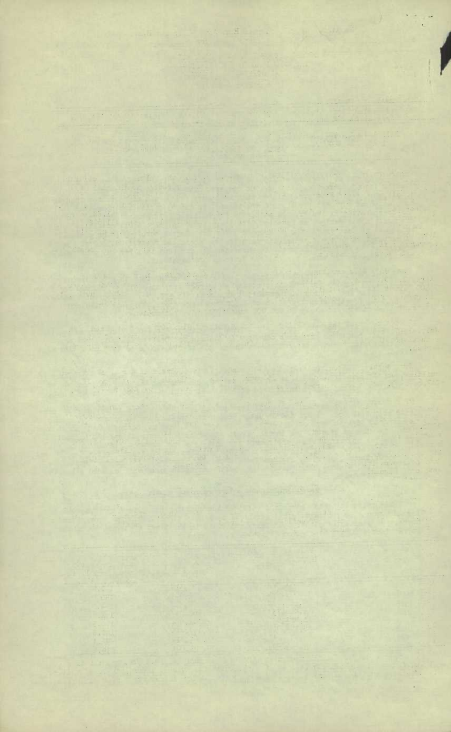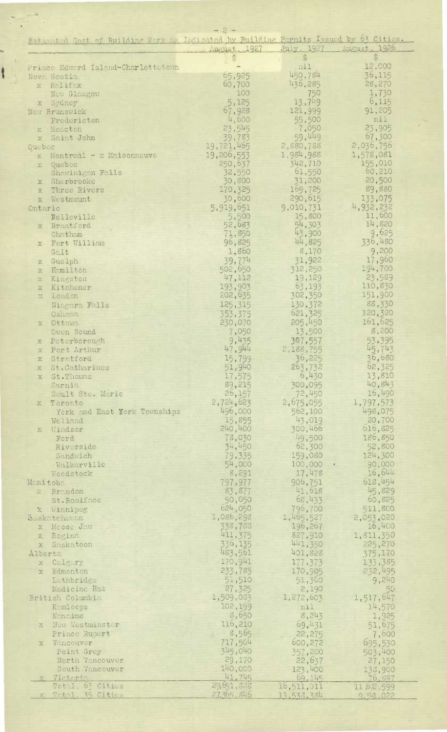| Matimated Cost of Building Lork as Indicated by Building Permits Issued by 63 Cities. | $-2 -$              |                      |                                                    |
|---------------------------------------------------------------------------------------|---------------------|----------------------|----------------------------------------------------|
|                                                                                       | August, 1927        | July, 1927           | August, 1926                                       |
| Prince Edward Island-Charlottetown                                                    | $\mathcal{F}$       | $\mathbb{S}$<br>nil  | $\hat{S}$<br>12,000                                |
| Nova Scotia                                                                           | 65,925              | 450.784              | 36,115                                             |
| x Halifax                                                                             | 60,700              | 436,285              | 28,270                                             |
| Now Glasgow                                                                           | 100                 | 750                  | 1,730                                              |
| Sydney<br>X                                                                           | 5,125               | 13,749               | 6,115                                              |
| Now Brunswick                                                                         | 67,928<br>4,600     | 121,999              | 91,205<br>nil                                      |
| Fredericton<br>x Moncton                                                              | 23,545              | 55,500<br>7,050      | 23,905                                             |
| Saint John<br>X                                                                       | 39,783              | 59,449               | 67,300                                             |
| Quebec                                                                                | 19,721,465          | 2,880,788            | 2,036,756                                          |
| Montreal $- x$ Maisonneuve<br>X                                                       | 19,206,553          | 1.984,988            | 1,578,081                                          |
| Quebec<br>X<br>Shawinigan Falls                                                       | 250,637             | 342,710<br>61,550    | 155,010<br>60,210                                  |
| Sherbrooke<br>$\mathbf{x}$                                                            | 32,550<br>30,800    | 31,200               | 20,500                                             |
| Three Rivers<br>$\mathbf{x}$                                                          | 170,325             | 169,725              | 89,880                                             |
| Westmount<br>$\mathbf{x}$                                                             | 30,600              | 290,615              | 133,075                                            |
| Ontario                                                                               | 5,919,651           | 9,010,731            | 4,932,232                                          |
| <b>Eclleville</b>                                                                     | 5,500               | 15,800               | 11,600<br>14,820                                   |
| Brantford<br>$\mathbf{x}$<br>Chatham                                                  | 52,683<br>71,850    | 54,303<br>43,900     | 9,625                                              |
| Fort William<br>X                                                                     | 96,825              | 44,825               | 336,480                                            |
| Galt                                                                                  | 1,860               | 8,170                | 9,200                                              |
| Guelph<br>$\mathbb X$                                                                 | 39,774              | 31,922               | 17,960                                             |
| Hamilton<br>$\mathbb X$                                                               | 502,650             | 312,250              | 194,700                                            |
| Kingston<br>$\mathbbm{X}$                                                             | 47,112<br>193,903   | 19,129<br>63,193     | 23,589<br>110,830                                  |
| Kitchener<br>$\rm{Z}$<br>London<br>$\mathbb{M}^{\mathbb{C}}$                          | 202,635             | 302,350              | 151,900                                            |
| Niagara Falls                                                                         | 125,315             | 130,372              | 88,330                                             |
| Oshawa                                                                                | 353,375             | 621, 325             | 120,320                                            |
| Ottawa<br>$\mathbb{X}$                                                                | 230,070             | 205,450              | 161,625                                            |
| Owen Sound                                                                            | 7,050               | 13,500               | 8,200                                              |
| Peterborough<br>X<br>Port Arthur<br>$\infty$                                          | 9,435<br>47,944     | 307,557<br>2,188,755 | 53,395<br>45,743                                   |
| x Stratford                                                                           | 15,799              | 36,225               | 36,680                                             |
| St. Catharines<br>X.                                                                  | 51,940              | 263,732              | 62,325                                             |
| St.Thomas<br>X                                                                        | 17,575              | 6,430                | 13,810                                             |
| Sarnia                                                                                | 89,215              | 300,095              | 40,843<br>16,490                                   |
| Sault Ste. Marie<br>Toronto<br>$\mathbb{X}$                                           | 26,157<br>2,724,623 | 72,450<br>2,675,055  | 1,797,573                                          |
| York and East York Townships                                                          | 496,000             | 562,100              | 498,075                                            |
| Welland                                                                               | 15,855              | 43,019               | 20,700                                             |
| Windsor<br>X                                                                          | 240,400             | 300,466              | 616,825                                            |
| Ford                                                                                  | 78,030<br>34,450    | 49,500<br>62,300     | 186,850<br>52,800                                  |
| Riversido<br>Sandwich                                                                 | 79,335              | 159,080              | 124,300                                            |
| Walkerville                                                                           | 54,000              | 100,000              | 90,000                                             |
| Woodstock                                                                             | 8,291               | 17,478               | 16,644                                             |
| Manitoba                                                                              | 797,977             | 906,751              | 618,454                                            |
| <b>Ex Brandon</b>                                                                     | 83,877<br>90,050    | 41,618<br>68,433     | 45,829<br>60,825                                   |
| St.Bonifacc<br>Winnipeg<br>$\mathbb{X}^-$                                             | 624,050             | 796,700              | 511,800                                            |
| Saskatchowan                                                                          | 1,086,298           | 1,465,527            | 2,053,020                                          |
| x Mcose Jaw                                                                           | 338,788             | 196,267              | 16,400                                             |
| Regina<br>X                                                                           | 411,375             | 827,910              | 1,811,350                                          |
| Saskatoon<br>$\mathbf{x}$                                                             | 336,135             | 441,350              | 225,270                                            |
| Alberta<br>Calgary<br>$\mathbf{X}^-$                                                  | 483,561<br>170,941  | 401,828<br>177,373   | 375,170<br>133,385                                 |
| Edmonton<br>$\mathbb{X}$                                                              | 233,785             | 170,905              | 232,495                                            |
| Lethbridge                                                                            | 51,510              | 51,360               | 9,240                                              |
| Medicine Hat                                                                          | 27,325              | 2,190                | 50                                                 |
| British Columbia                                                                      | 1,509,033           | 1,272,603            | 1,517,647                                          |
| Kamlocps<br>Nanaimo                                                                   | 102,199<br>8,650    | nil<br>8,243         | 14,570                                             |
| New Westminster<br>$\mathbb{X}$                                                       | 116,210             | 69,431               | 1,925<br>51,675                                    |
| Prince Rupert                                                                         | 8,565               | 22,275               | 7,600                                              |
| Vancouver<br>X                                                                        | 717,504             | 600,272              | 695,530                                            |
| Point Grey                                                                            | 345,040             | 357,200              | 503,400                                            |
| North Vancouver                                                                       | 29,170              | 22,637               | 27,150                                             |
| South Vancouver<br>Victoria<br>$\mathcal{R}^-$                                        | 140,000<br>41,745   | 123,400<br>69.145    | 133,900<br>76,897                                  |
| Total, 63 Cities                                                                      | 29,651,888          | 16,511,011           | 11,672,599                                         |
| $C_1 + C_2$ $T_1$ $T_2$ $C_3$ $C_4$                                                   | $27765$ $716$       | 1777777              | $C = \begin{bmatrix} 1 & 1 \\ 1 & 1 \end{bmatrix}$ |